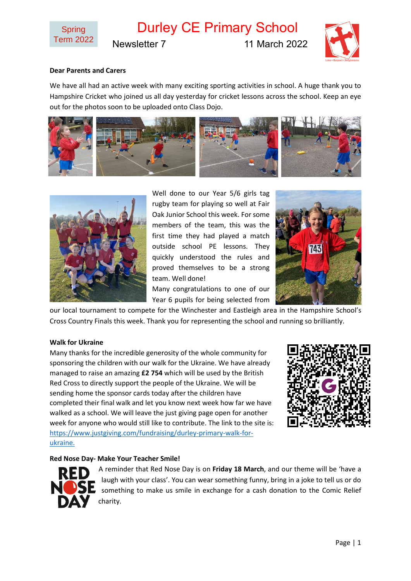

Durley CE Primary School

Newsletter 7 11 March 2022



# **Dear Parents and Carers**

We have all had an active week with many exciting sporting activities in school. A huge thank you to Hampshire Cricket who joined us all day yesterday for cricket lessons across the school. Keep an eye out for the photos soon to be uploaded onto Class Dojo.





Well done to our Year 5/6 girls tag rugby team for playing so well at Fair Oak Junior School this week. For some members of the team, this was the first time they had played a match outside school PE lessons. They quickly understood the rules and proved themselves to be a strong team. Well done!

Many congratulations to one of our Year 6 pupils for being selected from



our local tournament to compete for the Winchester and Eastleigh area in the Hampshire School's Cross Country Finals this week. Thank you for representing the school and running so brilliantly.

#### **Walk for Ukraine**

Many thanks for the incredible generosity of the whole community for sponsoring the children with our walk for the Ukraine. We have already managed to raise an amazing **£2 754** which will be used by the British Red Cross to directly support the people of the Ukraine. We will be sending home the sponsor cards today after the children have completed their final walk and let you know next week how far we have walked as a school. We will leave the just giving page open for another week for anyone who would still like to contribute. The link to the site is: [https://www.justgiving.com/fundraising/durley-primary-walk-for](https://www.justgiving.com/fundraising/durley-primary-walk-for-ukraine)[ukraine.](https://www.justgiving.com/fundraising/durley-primary-walk-for-ukraine)



#### **Red Nose Day- Make Your Teacher Smile!**



A reminder that Red Nose Day is on **Friday 18 March**, and our theme will be 'have a laugh with your class'. You can wear something funny, bring in a joke to tell us or do something to make us smile in exchange for a cash donation to the Comic Relief charity.